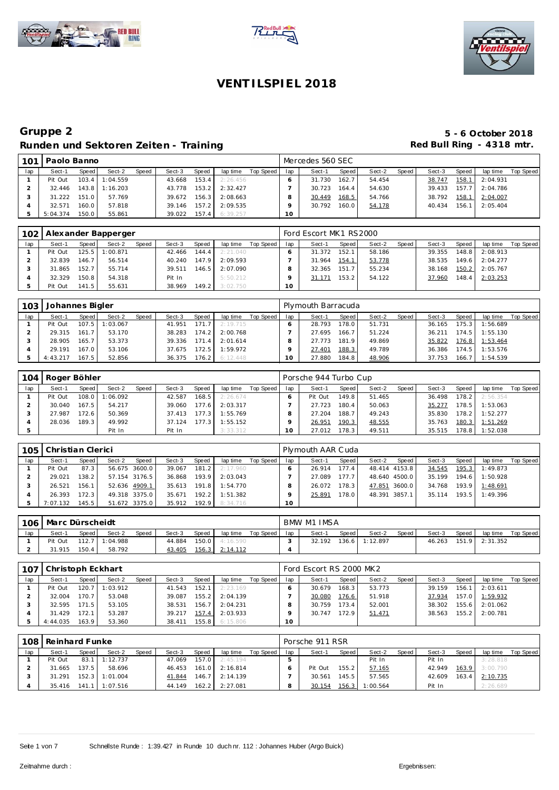





| 101 | Paolo Banno |       |          |              |        |       |          |           |        | Mercedes 560 SEC |        |        |       |        |       |          |           |
|-----|-------------|-------|----------|--------------|--------|-------|----------|-----------|--------|------------------|--------|--------|-------|--------|-------|----------|-----------|
| lap | Sect-1      | Speed | Sect-2   | <b>Speed</b> | Sect-3 | Speed | lap time | Top Speed | lap    | Sect-1           | Speed  | Sect-2 | Speed | Sect-3 | Speed | lap time | Top Speed |
|     | Pit Out     | 103.4 | 1:04.559 |              | 43.668 | 153.4 | 2:26.456 |           |        | 31.730           | 162.7  | 54.454 |       | 38.747 | 158.1 | 2:04.931 |           |
|     | 32.446      | 143.8 | 1:16.203 |              | 43.778 | 153.2 | 2:32.427 |           |        | 30.723           | 164.41 | 54.630 |       | 39.433 | 157.7 | 2:04.786 |           |
|     | 31.222      | 151.0 | 57.769   |              | 39.672 | 156.3 | 2:08.663 |           |        | 30.449           | 168.5  | 54.766 |       | 38.792 | 158.1 | 2:04.007 |           |
|     | 32.571      | 160.0 | 57.818   |              | 39.146 | 157.2 | 2:09.535 |           |        | 30.792           | 160.0  | 54.178 |       | 40.434 | 156.1 | 2:05.404 |           |
|     | 5:04.374    | 150.0 | 55.861   |              | 39.022 | 157.4 | 6:39.257 |           | $10-1$ |                  |        |        |       |        |       |          |           |

| 102 <sub>1</sub> |         |       | Alexander Bapperger |       |        |        |          |           |     | Ford Escort MK1 RS2000 |                    |        |       |        |       |          |           |
|------------------|---------|-------|---------------------|-------|--------|--------|----------|-----------|-----|------------------------|--------------------|--------|-------|--------|-------|----------|-----------|
| lap              | Sect-1  | Speed | Sect-2              | Speed | Sect-3 | Speed  | lap time | Top Speed | lap | Sect-1                 | Speed              | Sect-2 | Speed | Sect-3 | Speed | lap time | Top Speed |
|                  | Pit Out |       | $125.5$ 1:00.871    |       | 42.466 | 144.4  | 2:21.040 |           |     | 31.372                 | 152.1              | 58.186 |       | 39.355 | 148.8 | 2:08.913 |           |
|                  | 32.839  | 146.7 | 56.514              |       | 40.240 | 147.9  | 2:09.593 |           |     | 31.964                 | 154.1              | 53.778 |       | 38.535 | 149.6 | 2:04.277 |           |
|                  | 31.865  | 152.7 | 55.714              |       | 39.511 | 146.5  | 2:07.090 |           |     | 32.365                 | 151.7 <sup>1</sup> | 55.234 |       | 38.168 | 150.2 | 2:05.767 |           |
|                  | 32.329  | 150.8 | 54.318              |       | Pit In |        | 5:50.212 |           |     | 31.171                 | 153.2              | 54.122 |       | 37.960 | 148.4 | 2:03.253 |           |
|                  | Pit Out | 141.5 | 55.631              |       | 38.969 | 149.21 | 3:02.750 |           | 10  |                        |                    |        |       |        |       |          |           |

| 103 | Johannes Bigler |       |          |       |        |       |          |           |     | Plymouth Barracuda |       |        |       |        |       |          |           |
|-----|-----------------|-------|----------|-------|--------|-------|----------|-----------|-----|--------------------|-------|--------|-------|--------|-------|----------|-----------|
| lap | Sect-1          | Speed | Sect-2   | Speed | Sect-3 | Speed | lap time | Top Speed | lap | Sect-1             | Speed | Sect-2 | Speed | Sect-3 | Speed | lap time | Top Speed |
|     | Pit Out         | 107.5 | 1:03.067 |       | 41.951 | 171.7 | 2:19.715 |           |     | 28.793             | 178.0 | 51.731 |       | 36.165 | 175.3 | 1:56.689 |           |
|     | 29.315          | 161.7 | 53.170   |       | 38.283 | 174.2 | 2:00.768 |           |     | 27.695             | 166.7 | 51.224 |       | 36.211 | 174.5 | 1:55.130 |           |
|     | 28.905          | 165.7 | 53.373   |       | 39.336 | 171.4 | 2:01.614 |           |     | 27.773             | 181.9 | 49.869 |       | 35.822 | 176.8 | 1:53.464 |           |
|     | 29.191          | 167.0 | 53.106   |       | 37.675 | 172.5 | 1:59.972 |           |     | 27.401             | 188.3 | 49.789 |       | 36.386 | 174.5 | 1:53.576 |           |
|     | 4:43.217        | 167.5 | 52.856   |       | 36.375 | 176.2 | 6:12.448 |           |     | 27.880             | 184.8 | 48.906 |       | 37.753 | 166.7 | 1:54.539 |           |

| 104 | Roger Böhler |       |          |              |        |       |          |           |     | Porsche 944 Turbo Cup |       |        |       |        |       |          |           |
|-----|--------------|-------|----------|--------------|--------|-------|----------|-----------|-----|-----------------------|-------|--------|-------|--------|-------|----------|-----------|
| lap | Sect-1       | Speed | Sect-2   | <b>Speed</b> | Sect-3 | Speed | lap time | Top Speed | lap | Sect-1                | Speed | Sect-2 | Speed | Sect-3 | Speed | lap time | Top Speed |
|     | Pit Out      | 108.0 | 1:06.092 |              | 42.587 | 168.5 | 2:26.674 |           |     | Pit Out               | 149.8 | 51.465 |       | 36.498 | 178.2 | 2:56.354 |           |
|     | 30.040       | 167.5 | 54.217   |              | 39.060 | 177.6 | 2:03.317 |           |     | 27.723                | 180.4 | 50.063 |       | 35.277 | 178.5 | 1:53.063 |           |
|     | 27.987       | 172.6 | 50.369   |              | 37.413 | 177.3 | 1:55.769 |           |     | 27.204                | 188.7 | 49.243 |       | 35.830 | 178.2 | 1:52.277 |           |
|     | 28.036       | 189.3 | 49.992   |              | 37.124 | 177.3 | 1:55.152 |           |     | 26.951                | 190.3 | 48.555 |       | 35.763 | 180.3 | 1:51.269 |           |
|     |              |       | Pit In   |              | Pit In |       | 3:33.312 |           | 10  | 27.012                | 178.3 | 49.511 |       | 35.515 | 178.8 | 1:52.038 |           |

| 105 | Christian Clerici |         |               |               |        |       |          |           |     | Plymouth AAR Cuda |                    |               |         |        |       |          |           |
|-----|-------------------|---------|---------------|---------------|--------|-------|----------|-----------|-----|-------------------|--------------------|---------------|---------|--------|-------|----------|-----------|
| lap | Sect-1            | Speed I | Sect-2        | Speed         | Sect-3 | Speed | lap time | Top Speed | lap | Sect-1            | Speed              | Sect-2        | Speed I | Sect-3 | Speed | lap time | Top Speed |
|     | Pit Out           | 87.3    |               | 56.675 3600.0 | 39.067 | 181.2 | 2:17.960 |           |     | 26.914            | 177.4 <sub>1</sub> | 48.414 4153.8 |         | 34.545 | 195.3 | 1:49.873 |           |
|     | 29.021            | 138.2   | 57.154 3176.5 |               | 36.868 | 193.9 | 2:03.043 |           |     | 27.089            | 177.7              | 48.640 4500.0 |         | 35.199 | 194.6 | 1:50.928 |           |
|     | 26.521            | 156.1   | 52.636 4909.1 |               | 35.613 | 191.8 | 1:54.770 |           |     | 26.072            | 178.3              | 47.851 3600.0 |         | 34.768 | 193.9 | 1:48.691 |           |
|     | 26.393            | 172.3   |               | 49.318 3375.0 | 35.671 | 192.2 | 1:51.382 |           |     | 25.891            | 178.0              | 48.391 3857.1 |         | 35.114 | 193.5 | 1:49.396 |           |
|     | 7:07.132          | 145.5   | 51.672 3375.0 |               | 35.912 | 192.9 | 8:34.716 |           | 10  |                   |                    |               |         |        |       |          |           |

| 106 | l Marc Dürscheidt |       |                |       |        |       |          |           |     | BMW M1 IMSA |       |                |         |        |       |          |           |
|-----|-------------------|-------|----------------|-------|--------|-------|----------|-----------|-----|-------------|-------|----------------|---------|--------|-------|----------|-----------|
| lap | Sect-1            | Speed | Sect-2         | Speed | Sect-3 | Speed | lap time | Top Speed | lap | Sect-1      | Speed | Sect-2         | Speed I | Sect-3 | Speed | lap time | Top Speed |
|     | Pit Out           |       | 112.7 1:04.988 |       | 44.884 | 150.0 | 4:16.590 |           |     | 32.192      |       | 136.6 1:12.897 |         | 46.263 | 151.9 | 2:31.352 |           |
|     | 31.915            | 150.4 | 58.792         |       | 43.405 | 156.3 | 2:14.112 |           |     |             |       |                |         |        |       |          |           |

| 107 | l Christoph Eckhart I |         |                  |       |        |       |          |           |     | Ford Escort RS 2000 MK2 |       |        |       |        |       |                |           |
|-----|-----------------------|---------|------------------|-------|--------|-------|----------|-----------|-----|-------------------------|-------|--------|-------|--------|-------|----------------|-----------|
| lap | Sect-1                | Speed I | Sect-2           | Speed | Sect-3 | Speed | lap time | Top Speed | lap | Sect-1                  | Speed | Sect-2 | Speed | Sect-3 | Speed | lap time       | Top Speed |
|     | Pit Out               |         | $120.7$ 1:03.912 |       | 41.543 | 152.1 | 2:23.169 |           |     | 30.679                  | 168.3 | 53.773 |       | 39.159 | 156.1 | 2:03.611       |           |
|     | 32.004                | 170.7   | 53.048           |       | 39.087 | 155.2 | 2:04.139 |           |     | 30.080                  | 176.6 | 51.918 |       | 37.934 | 157.0 | 1:59.932       |           |
|     | 32.595                | 171.5   | 53.105           |       | 38.531 | 156.7 | 2:04.231 |           |     | 30.759                  | 173.4 | 52.001 |       | 38.302 |       | 155.6 2:01.062 |           |
|     | 31.429                | 172.1   | 53.287           |       | 39.217 | 157.4 | 2:03.933 |           |     | 30.747                  | 172.9 | 51.471 |       | 38.563 |       | 155.2 2:00.781 |           |
|     | 4:44.035              | 163.9   | 53.360           |       | 38.411 | 155.8 | 6:15.806 |           | 10  |                         |       |        |       |        |       |                |           |

|     | 108 Reinhard Funke |         |                         |       |        |       |                       |           |     | Porsche 911 RSR |       |                |       |        |       |                  |           |
|-----|--------------------|---------|-------------------------|-------|--------|-------|-----------------------|-----------|-----|-----------------|-------|----------------|-------|--------|-------|------------------|-----------|
| lap | Sect-1             | Speed I | Sect-2                  | Speed | Sect-3 | Speed | lap time              | Top Speed | lap | Sect-1          | Speed | Sect-2         | Speed | Sect-3 | Speed | lap time         | Top Speed |
|     | Pit Out            |         | 83.1 1:12.737           |       | 47.069 |       | $157.0$ 2:45.194      |           |     |                 |       | Pit In         |       | Pit In |       | 3:28.818         |           |
|     | 31.665             | 137.5   | 58.696                  |       |        |       | 46.453 161.0 2:16.814 |           |     | Pit Out         | 155.2 | 57.165         |       | 42.949 |       | $163.9$ 3:00.790 |           |
|     | 31.291             |         | 152.3 1:01.004          |       | 41.844 |       | 146.7 2:14.139        |           |     | 30.561          | 145.5 | 57.565         |       | 42.609 | 163.4 | 2:10.735         |           |
|     |                    |         | 35.416  141.1  1:07.516 |       | 44.149 |       | 162.2 2:27.081        |           |     | 30.154          |       | 156.3 1:00.564 |       | Pit In |       | 2:26.689         |           |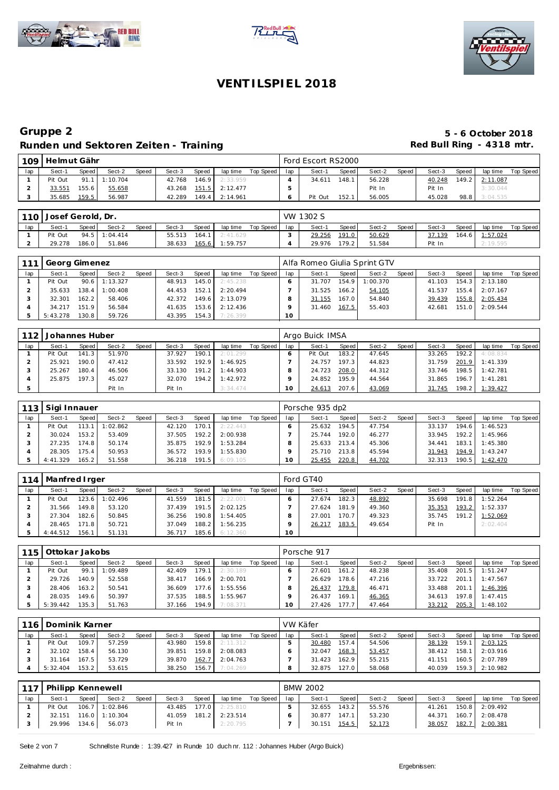





| 109 | Helmut Gähr |       |                 |       |        |       |                       |           |     | Ford Escort RS2000 |       |        |       |        |       |                |           |
|-----|-------------|-------|-----------------|-------|--------|-------|-----------------------|-----------|-----|--------------------|-------|--------|-------|--------|-------|----------------|-----------|
| lap | Sect-1      | Speed | Sect-2          | Speed | Sect-3 | Speed | lap time              | Top Speed | lap | Sect-1             | Speed | Sect-2 | Speed | Sect-3 | Speed | lap time       | Top Speed |
|     | Pit Out     |       | $91.1$ 1:10.704 |       | 42.768 |       | $146.9$ 2:33.959      |           |     | 34.611             | 148.1 | 56.228 |       | 40.248 |       | 149.2 2:11.087 |           |
|     | 33.551      | 155.6 | 55.658          |       |        |       | 43.268 151.5 2:12.477 |           |     |                    |       | Pit In |       | Pit In |       | 3:30.044       |           |
|     | 35.685      | 159.5 | 56.987          |       | 42.289 |       | 149.4 2:14.961        |           |     | Pit Out            | 152.1 | 56.005 |       | 45.028 |       | 98.8 3:04.535  |           |

|     | 110 Josef Gerold, Dr. |       |                 |       |        |       |          |           |     | VW 1302 S |       |        |       |        |       |          |           |
|-----|-----------------------|-------|-----------------|-------|--------|-------|----------|-----------|-----|-----------|-------|--------|-------|--------|-------|----------|-----------|
| lap | Sect-1                | Speed | Sect-2          | Speed | Sect-3 | Speed | lap time | Top Speed | lap | Sect-1    | Speed | Sect-2 | Speed | Sect-3 | Speed | lap time | Top Speed |
|     | Pit Out               |       | $94.5$ 1:04.414 |       | 55.513 | 164.1 | 2:41.629 |           |     | 29.256    | 191.0 | 50.629 |       | 37.139 | 164.6 | 1:57.024 |           |
|     | 29.278                | 186.0 | 51.846          |       | 38.633 | 165.6 | 1:59.757 |           |     | 29.976    | 79.2  | 51.584 |       | Pit In |       | 2:19.595 |           |

|     | Georg Gimenez |       |                |       |        |       |          |           |                 | Alfa Romeo Giulia Sprint GTV |       |          |       |        |       |                    |           |
|-----|---------------|-------|----------------|-------|--------|-------|----------|-----------|-----------------|------------------------------|-------|----------|-------|--------|-------|--------------------|-----------|
| lap | Sect-1        | Speed | Sect-2         | Speed | Sect-3 | Speed | lap time | Top Speed | lap             | Sect-1                       | Speed | Sect-2   | Speed | Sect-3 | Speed | lap time           | Top Speed |
|     | Pit Out       |       | 90.6 1:13.327  |       | 48.913 | 145.0 | 2:45.238 |           |                 | 31.707                       | 154.9 | 1:00.370 |       | 41.103 |       | 154.3 2:13.180     |           |
|     | 35.633        |       | 138.4 1:00.408 |       | 44.453 | 152.1 | 2:20.494 |           |                 | 31.525                       | 166.2 | 54.105   |       | 41.537 |       | $155.4$ $2:07.167$ |           |
|     | 32.301        | 162.2 | 58.406         |       | 42.372 | 149.6 | 2:13.079 |           |                 | 31.155                       | 167.0 | 54.840   |       | 39.439 |       | 155.8 2:05.434     |           |
|     | 34.217        | 151.9 | 56.584         |       | 41.635 | 153.6 | 2:12.436 |           |                 | 31.460                       | 167.5 | 55.403   |       | 42.681 |       | 151.0 2:09.544     |           |
|     | 5:43.278      | 130.8 | 59.726         |       | 43.395 | 154.3 | 7:26.399 |           | 10 <sup>1</sup> |                              |       |          |       |        |       |                    |           |

| 112 | Johannes Huber |       |        |       |        |       |          |           |     | Argo Buick IMSA |       |        |       |        |       |          |           |
|-----|----------------|-------|--------|-------|--------|-------|----------|-----------|-----|-----------------|-------|--------|-------|--------|-------|----------|-----------|
| lap | Sect-1         | Speed | Sect-2 | Speed | Sect-3 | Speed | lap time | Top Speed | lap | Sect-1          | Speed | Sect-2 | Speed | Sect-3 | Speed | lap time | Top Speed |
|     | Pit Out        | 141.3 | 51.970 |       | 37.927 | 190.1 | 2:01.299 |           |     | Pit Out         | 183.2 | 47.645 |       | 33.265 | 192.2 | 4:08.834 |           |
|     | 25.921         | 190.0 | 47.412 |       | 33.592 | 192.9 | 1:46.925 |           |     | 24.757          | 197.3 | 44.823 |       | 31.759 | 201.9 | 1:41.339 |           |
|     | 25.267         | 180.4 | 46.506 |       | 33.130 | 191.2 | 1:44.903 |           |     | 24.723          | 208.0 | 44.312 |       | 33.746 | 198.5 | 1:42.781 |           |
|     | 25.875         | 197.3 | 45.027 |       | 32.070 | 194.2 | 1:42.972 |           |     | 24.852          | 195.9 | 44.564 |       | 31.865 | 196.7 | 1:41.281 |           |
|     |                |       | Pit In |       | Pit In |       | 3:34.474 |           |     | 24.613          | 207.6 | 43.069 |       | 31.745 | 198.2 | 1:39.427 |           |

| 113 | Sigi Innauer |         |          |              |        |              |          |           |     | Porsche 935 dp2 |       |        |       |        |                    |          |           |
|-----|--------------|---------|----------|--------------|--------|--------------|----------|-----------|-----|-----------------|-------|--------|-------|--------|--------------------|----------|-----------|
| lap | Sect-1       | Speed I | Sect-2   | <b>Speed</b> | Sect-3 | <b>Speed</b> | lap time | Top Speed | lap | Sect-1          | Speed | Sect-2 | Speed | Sect-3 | Speed              | lap time | Top Speed |
|     | Pit Out      | 113.1   | 1:02.862 |              | 42.120 | 170.1        | 2:22.443 |           |     | 25.632          | 194.5 | 47.754 |       | 33.137 | 194.6 <sub>1</sub> | 1:46.523 |           |
|     | 30.024       | 153.2   | 53.409   |              | 37.505 | 192.2        | 2:00.938 |           |     | 25.744          | 192.0 | 46.277 |       | 33.945 | 192.21             | 1:45.966 |           |
|     | 27.235       | 174.8   | 50.174   |              | 35.875 | 192.9        | 1:53.284 |           |     | 25.633          | 213.4 | 45.306 |       | 34.441 | 183.1              | 1:45.380 |           |
|     | 28.305       | 175.4   | 50.953   |              | 36.572 | 193.9        | 1:55.830 |           |     | 25.710          | 213.8 | 45.594 |       | 31.943 | 194.9              | 1:43.247 |           |
|     | 4:41.329     | 165.2   | 51.558   |              | 36.218 | 191.5        | 6:09.105 |           |     | 25.455          | 220.8 | 44.702 |       | 32.313 | 190.5              | 1:42.470 |           |

| 114 | Manfred I rger |       |         |       |        |       |          |           |     | Ford GT40 |       |        |       |        |       |          |           |
|-----|----------------|-------|---------|-------|--------|-------|----------|-----------|-----|-----------|-------|--------|-------|--------|-------|----------|-----------|
| lap | Sect-1         | Speed | Sect-2  | Speed | Sect-3 | Speed | lap time | Top Speed | lap | Sect-1    | Speed | Sect-2 | Speed | Sect-3 | Speed | lap time | Top Speed |
|     | Pit Out        | 123.6 | :02.496 |       | 41.559 | 181.5 | 2:22.001 |           |     | 27.674    | 182.3 | 48.892 |       | 35.698 | 191.8 | 1:52.264 |           |
|     | 31.566         | 149.8 | 53.120  |       | 37.439 | 191.5 | 2:02.125 |           |     | 27.624    | 181.9 | 49.360 |       | 35.353 | 193.2 | 1:52.337 |           |
|     | 27.304         | 182.6 | 50.845  |       | 36.256 | 190.8 | 1:54.405 |           |     | 27.001    | 170.7 | 49.323 |       | 35.745 | 191.2 | 1:52.069 |           |
|     | 28.465         | 171.8 | 50.721  |       | 37.049 | 188.2 | 1:56.235 |           |     | 26.217    | 183.5 | 49.654 |       | Pit In |       | 2:02.404 |           |
|     | 4:44.512       | 156.1 | 51.131  |       | 36.717 | 185.6 | 6:12.360 |           | 10  |           |       |        |       |        |       |          |           |

| 115 | Ottokar Jakobs |       |         |       |        |       |          |           |     | Porsche 917 |       |        |       |        |       |                |           |
|-----|----------------|-------|---------|-------|--------|-------|----------|-----------|-----|-------------|-------|--------|-------|--------|-------|----------------|-----------|
| lap | Sect-1         | Speed | Sect-2  | Speed | Sect-3 | Speed | lap time | Top Speed | lap | Sect-1      | Speed | Sect-2 | Speed | Sect-3 | Speed | lap time       | Top Speed |
|     | Pit Out        | 99.1  | :09.489 |       | 42.409 | 179.1 | 2:30.189 |           |     | 27.601      | 161.2 | 48.238 |       | 35.408 |       | 201.5 1:51.247 |           |
|     | 29.726         | 140.9 | 52.558  |       | 38.417 | 166.9 | 2:00.701 |           |     | 26.629      | 178.6 | 47.216 |       | 33.722 |       | 201.1 1:47.567 |           |
|     | 28.406         | 163.2 | 50.541  |       | 36.609 | 177.6 | 1:55.556 |           |     | 26.437      | 179.8 | 46.471 |       | 33.488 |       | 201.1 1:46.396 |           |
|     | 28.035         | 149.6 | 50.397  |       | 37.535 | 188.5 | 1:55.967 |           |     | 26.437      | 169.1 | 46.365 |       | 34.613 |       | 197.8 1:47.415 |           |
|     | 5:39.442       | 135.3 | 51.763  |       | 37.166 | 194.9 | 7:08.371 |           | 10  | 27.426      | 177.7 | 47.464 |       | 33.212 |       | 205.3 1:48.102 |           |

| 116 | Dominik Karner |       |        |       |        |       |          |           |     | VW Käfer |        |        |                |        |       |          |           |
|-----|----------------|-------|--------|-------|--------|-------|----------|-----------|-----|----------|--------|--------|----------------|--------|-------|----------|-----------|
| lap | Sect-1         | Speed | Sect-2 | Speed | Sect-3 | Speed | lap time | Top Speed | lap | Sect-1   | Speed  | Sect-2 | Speed <b>i</b> | Sect-3 | Speed | lap time | Top Speed |
|     | Pit Out        | 109.7 | 57.259 |       | 43.980 | 159.8 | 2:11.312 |           |     | 30.480   | 157.4  | 54.506 |                | 38.139 | 159.1 | 2:03.125 |           |
|     | 32.102         | 158.4 | 56.130 |       | 39.851 | 159.8 | 2:08.083 |           |     | 32.047   | 168.3  | 53.457 |                | 38.412 | 158.1 | 2:03.916 |           |
|     | 31.164         | 167.5 | 53.729 |       | 39.870 | 162.7 | 2:04.763 |           |     | 31.423   | 162.9  | 55.215 |                | 41.151 | 160.5 | 2:07.789 |           |
|     | 5:32.404       | 153.2 | 53.615 |       | 38.250 | 156.7 | 7:04.269 |           |     | 32.875   | 127.01 | 58.068 |                | 40.039 | 159.3 | 2:10.982 |           |

| $117$ | Philipp Kennewell |       |                    |       |        |              |          |           |     | <b>BMW 2002</b> |       |        |       |        |       |          |           |
|-------|-------------------|-------|--------------------|-------|--------|--------------|----------|-----------|-----|-----------------|-------|--------|-------|--------|-------|----------|-----------|
| lap   | Sect-1            | Speed | Sect-2             | Speed | Sect-3 | <b>Speed</b> | lap time | Top Speed | lap | Sect-1          | Speed | Sect-2 | Speed | Sect-3 | Speed | lap time | Top Speed |
|       | Pit Out           |       | 106.7 1:02.846     |       | 43.485 | 177.0        | 2:25.810 |           |     | 32.655          | 143.2 | 55.576 |       | 41.261 | 150.8 | 2:09.492 |           |
|       | 32.151            |       | $116.0$   1:10.304 |       | 41.059 | 181.2        | 2:23.514 |           |     | 30.877          | 147.1 | 53.230 |       | 44.371 | 160.7 | 2:08.478 |           |
|       | 29.996            | 134.6 | 56.073             |       | Pit In |              | 2:20.795 |           |     | 30.151          | 154.5 | 52.173 |       | 38.057 | 182.7 | 2:00.381 |           |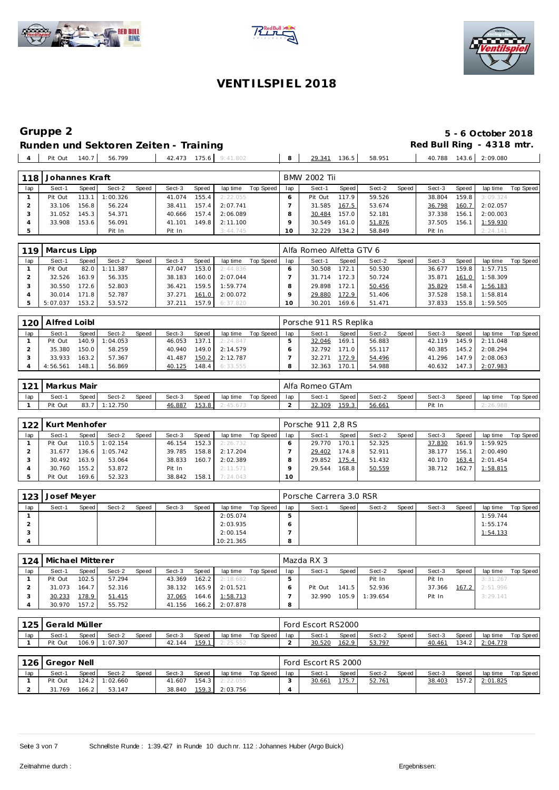





 $\overline{\phantom{a}}$ 

### **VENT ILSPIEL 2018**

# **Gruppe 2 5 - 6 October 2018 Runden und Sektoren Zeiten - Training and Red Bull Ring - 4318 mtr.**

Pit Out 140.7 56.799 42.473 175.6 9:41.802 8 29.341 136.5 58.951 40.788 143.6 2:09.080

| 118 | Johannes Kraft |       |          |       |        |       |          |           |     | <b>BMW 2002 Tii</b> |       |        |       |        |       |          |           |
|-----|----------------|-------|----------|-------|--------|-------|----------|-----------|-----|---------------------|-------|--------|-------|--------|-------|----------|-----------|
| lap | Sect-1         | Speed | Sect-2   | Speed | Sect-3 | Speed | lap time | Top Speed | lap | Sect-1              | Speed | Sect-2 | Speed | Sect-3 | Speed | lap time | Top Speed |
|     | Pit Out        | 113.1 | : 00.326 |       | 41.074 | 155.4 | 2:22.055 |           |     | Pit Out             | 117.9 | 59.526 |       | 38.804 | 159.8 | 3:09.324 |           |
|     | 33.106         | 156.8 | 56.224   |       | 38.411 | 157.4 | 2:07.741 |           |     | 31.585              | 167.5 | 53.674 |       | 36.798 | 160.7 | 2:02.057 |           |
|     | 31.052         | 145.3 | 54.371   |       | 40.666 | 157.4 | 2:06.089 |           |     | 30.484              | 157.0 | 52.181 |       | 37.338 | 156.1 | 2:00.003 |           |
|     | 33.908         | 153.6 | 56.091   |       | 41.101 | 149.8 | 2:11.100 |           |     | 30.549              | 161.0 | 51.876 |       | 37.505 | 156.1 | 1:59.930 |           |
|     |                |       | Pit In   |       | Pit In |       | 3:44.745 |           |     | 32.229              | 134.2 | 58.849 |       | Pit In |       | 2:24.141 |           |

| 119 | Marcus Lipp |       |          |       |        |       |          |           |     | Alfa Romeo Alfetta GTV 6 |                    |        |       |        |       |          |           |
|-----|-------------|-------|----------|-------|--------|-------|----------|-----------|-----|--------------------------|--------------------|--------|-------|--------|-------|----------|-----------|
| lap | Sect-1      | Speed | Sect-2   | Speed | Sect-3 | Speed | lap time | Top Speed | lap | Sect-1                   | Speed              | Sect-2 | Speed | Sect-3 | Speed | lap time | Top Speed |
|     | Pit Out     | 82.0  | 1:11.387 |       | 47.047 | 153.0 | 2:44.836 |           |     | 30.508                   | 172.1              | 50.530 |       | 36.677 | 159.8 | 1:57.715 |           |
|     | 32.526      | 163.9 | 56.335   |       | 38.183 | 160.0 | 2:07.044 |           |     | 31.714                   | 172.3 <sub>1</sub> | 50.724 |       | 35.871 | 161.0 | 1:58.309 |           |
|     | 30.550      | 172.6 | 52.803   |       | 36.421 | 159.5 | 1:59.774 |           |     | 29.898                   | 172.1              | 50.456 |       | 35.829 | 158.4 | 1:56.183 |           |
|     | 30.014      | 171.8 | 52.787   |       | 37.271 | 161.0 | 2:00.072 |           |     | 29.880                   | 172.9              | 51.406 |       | 37.528 | 158.1 | 1:58.814 |           |
|     | 5:07.037    | 153.2 | 53.572   |       | 37.211 | 157.9 | 6:37.820 |           |     | 30.201                   | 169.6              | 51.471 |       | 37.833 | 155.8 | 1:59.505 |           |

| $120$ $\cdot$ | Alfred Loibl |                    |          |              |        |       |          |           |     | Porsche 911 RS Replika |       |        |       |        |                    |          |           |
|---------------|--------------|--------------------|----------|--------------|--------|-------|----------|-----------|-----|------------------------|-------|--------|-------|--------|--------------------|----------|-----------|
| lap           | Sect-1       | Speed              | Sect-2   | <b>Speed</b> | Sect-3 | Speed | lap time | Top Speed | lap | Sect-1                 | Speed | Sect-2 | Speed | Sect-3 | Speed              | lap time | Top Speed |
|               | Pit Out      | 140.9              | 1:04.053 |              | 46.053 | 137.1 | 2:24.847 |           |     | 32.046                 | 169.1 | 56.883 |       | 42.119 | 145.9              | 2:11.048 |           |
|               | 35.380       | 150.0              | 58.259   |              | 40.940 | 149.0 | 2:14.579 |           |     | 32.792                 | 171.0 | 55.117 |       | 40.385 | 145.2              | 2:08.294 |           |
|               | 33.933       | 163.2              | 57.367   |              | 41.487 | 150.2 | 2:12.787 |           |     | 32.271                 | 172.9 | 54.496 |       | 41.296 | 147.9              | 2:08.063 |           |
|               | 4:56.561     | 148.1 <sub>1</sub> | 56.869   |              | 40.125 | 48.4  | 6:33.555 |           |     | 32.363                 | 170.1 | 54.988 |       | 40.632 | 147.3 <sub>1</sub> | 2:07.983 |           |

|     | 121   Markus Mair |       |        |       |        |       |          |           |     | Alfa Romeo GTAm |       |        |       |        |       |          |           |
|-----|-------------------|-------|--------|-------|--------|-------|----------|-----------|-----|-----------------|-------|--------|-------|--------|-------|----------|-----------|
| lap | Sect-1            | Speed | Sect-2 | Speed | Sect-3 | Speed | lap time | Top Speed | lap | Sect-1          | Speed | Sect-2 | Speed | Sect-3 | Speed | lap time | Top Speed |
|     | Pit Out           | 83.   | 12.750 |       | 6.887  | 153.8 |          |           |     | 32.309          | 159.3 | 56.661 |       | Pit In |       |          |           |

| 122 | Kurt Menhofer |       |                  |       |        |       |          |           |     | Porsche 911 2.8 RS |       |        |         |        |       |                    |           |
|-----|---------------|-------|------------------|-------|--------|-------|----------|-----------|-----|--------------------|-------|--------|---------|--------|-------|--------------------|-----------|
| lap | Sect-1        | Speed | Sect-2           | Speed | Sect-3 | Speed | lap time | Top Speed | lap | Sect-1             | Speed | Sect-2 | Speed I | Sect-3 | Speed | lap time           | Top Speed |
|     | Pit Out       |       | $110.5$ 1:02.154 |       | 46.154 | 152.3 | 2:26.732 |           |     | 29.770             | 170.1 | 52.325 |         | 37.830 |       | 161.9 1:59.925     |           |
|     | 31.677        |       | $136.6$ 1:05.742 |       | 39.785 | 158.8 | 2:17.204 |           |     | 29.402             | 174.8 | 52.911 |         | 38.177 | 156.1 | $1 \quad 2:00.490$ |           |
|     | 30.492        | 163.9 | 53.064           |       | 38.833 | 160.7 | 2:02.389 |           |     | 29.852             | 175.4 | 51.432 |         | 40.170 |       | 163.4 2:01.454     |           |
|     | 30.760        | 155.2 | 53.872           |       | Pit In |       | 2:11.571 |           |     | 29.544             | 168.8 | 50.559 |         | 38.712 |       | 162.7 1:58.815     |           |
|     | Pit Out       | 169.6 | 52.323           |       | 38.842 | 158.1 | 7:24.043 |           | 10  |                    |       |        |         |        |       |                    |           |

| 123 | Josef Meyer |       |        |       |        |       |           |           |         | Porsche Carrera 3.0 RSR |       |        |       |        |       |          |           |
|-----|-------------|-------|--------|-------|--------|-------|-----------|-----------|---------|-------------------------|-------|--------|-------|--------|-------|----------|-----------|
| lap | Sect-1      | Speed | Sect-2 | Speed | Sect-3 | Speed | lap time  | Top Speed | lap     | Sect-1                  | Speed | Sect-2 | Speed | Sect-3 | Speed | lap time | Top Speed |
|     |             |       |        |       |        |       | 2:05.074  |           |         |                         |       |        |       |        |       | 1:59.744 |           |
|     |             |       |        |       |        |       | 2:03.935  |           |         |                         |       |        |       |        |       | 1:55.174 |           |
|     |             |       |        |       |        |       | 2:00.154  |           |         |                         |       |        |       |        |       | 1:54.133 |           |
|     |             |       |        |       |        |       | 10:21.365 |           | $\circ$ |                         |       |        |       |        |       |          |           |

| 124 | Michael Mitterer |        |        |       |        |       |          |           |     | Mazda RX 3 |       |          |       |        |       |          |           |
|-----|------------------|--------|--------|-------|--------|-------|----------|-----------|-----|------------|-------|----------|-------|--------|-------|----------|-----------|
| lap | Sect-1           | Speed  | Sect-2 | Speed | Sect-3 | Speed | lap time | Top Speed | lap | Sect-1     | Speed | Sect-2   | Speed | Sect-3 | Speed | lap time | Top Speed |
|     | Pit Out          | 102.5  | 57.294 |       | 43.369 | 162.2 | 2:18.682 |           |     |            |       | Pit In   |       | Pit In |       | 3:31.267 |           |
|     | 31.073           | 164.71 | 52.316 |       | 38.132 | 165.9 | 2:01.521 |           |     | Pit Out    | 141.5 | 52.936   |       | 37.366 | 167.2 | 2:51.996 |           |
|     | 30.233           | 178.9  | 51.415 |       | 37.065 | 164.6 | 1:58.713 |           |     | 32.990     | 105.9 | 1:39.654 |       | Pit In |       | 3:29.141 |           |
|     | 30.970           | 157.2  | 55.752 |       | 41.156 | 166.2 | 2:07.878 |           | 8   |            |       |          |       |        |       |          |           |

| 125 | ,   Gerald Müller |       |          |       |        |       |          |           |     | Ford Escort RS2000 |       |        |       |        |       |          |           |
|-----|-------------------|-------|----------|-------|--------|-------|----------|-----------|-----|--------------------|-------|--------|-------|--------|-------|----------|-----------|
| lap | Sect-1            | Speed | Sect-2   | Speed | Sect-3 | Speed | lap time | Top Speed | lap | Sect-1             | Speed | Sect-2 | Speed | Sect-3 | Speed | lap time | Top Speed |
|     | Pit Out           | 106.9 | : 07.307 |       | 42.144 | 159.1 | hh.      |           |     | 30.520             | 162.9 | 53.797 |       | 40.461 | 134.2 | 2:04.778 |           |

|     | 126   Gregor Nell |       |                |              |        |         |          |             |     | Ford Escort RS 2000 |       |        |       |        |       |                |           |
|-----|-------------------|-------|----------------|--------------|--------|---------|----------|-------------|-----|---------------------|-------|--------|-------|--------|-------|----------------|-----------|
| lap | Sect-1            | Speed | Sect-2         | <b>Speed</b> | Sect-3 | Speed   | lap time | Top Speed I | lap | Sect-1              | Speed | Sect-2 | Speed | Sect-3 | Speed | lap time       | Top Speed |
|     | Pit Out           |       | 124.2 1:02.660 |              | 41.607 | $154.3$ | 2:22.055 |             |     | 30.661              | 75.7  | 52.761 |       | 38.403 |       | 157.2 2:01.825 |           |
|     | 31.769            | 166.2 | 53.147         |              | 38.840 | 159.3   | 2:03.756 |             |     |                     |       |        |       |        |       |                |           |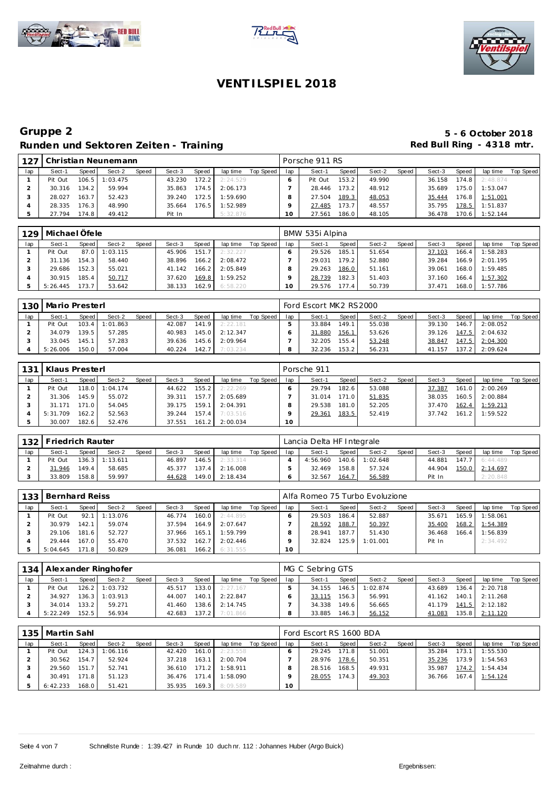





| .127 |         |        | Christian Neunemann |       |        |       |          |           |     | Porsche 911 RS |       |        |       |        |       |          |           |
|------|---------|--------|---------------------|-------|--------|-------|----------|-----------|-----|----------------|-------|--------|-------|--------|-------|----------|-----------|
| lap  | Sect-1  | Speed  | Sect-2              | Speed | Sect-3 | Speed | lap time | Top Speed | lap | Sect-1         | Speed | Sect-2 | Speed | Sect-3 | Speed | lap time | Top Speed |
|      | Pit Out | 106.5  | 1:03.475            |       | 43.230 | 172.2 | 2:24.529 |           |     | Pit Out        | 153.2 | 49.990 |       | 36.158 | 174.8 | 2:48.874 |           |
|      | 30.316  | 134.2  | 59.994              |       | 35.863 | 174.5 | 2:06.173 |           |     | 28.446         | 173.2 | 48.912 |       | 35.689 | 175.0 | 1:53.047 |           |
|      | 28.027  | 163.7  | 52.423              |       | 39.240 | 172.5 | 1:59.690 |           |     | 27.504         | 189.3 | 48.053 |       | 35.444 | 176.8 | 1:51.001 |           |
|      | 28.335  | 176.3  | 48.990              |       | 35.664 | 176.5 | 1:52.989 |           |     | 27.485         | 173.7 | 48.557 |       | 35.795 | 78.5  | 1:51.837 |           |
|      | 27.794  | 174.81 | 49.412              |       | Pit In |       | 5:32.876 |           |     | 27.561         | 186.0 | 48.105 |       | 36.478 | 70.6  | 1:52.144 |           |

| 129 | Michael Öfele |       |          |       |        |       |          |           |     | BMW 535i Alpina |       |        |       |        |       |                |           |
|-----|---------------|-------|----------|-------|--------|-------|----------|-----------|-----|-----------------|-------|--------|-------|--------|-------|----------------|-----------|
| lap | Sect-1        | Speed | Sect-2   | Speed | Sect-3 | Speed | lap time | Top Speed | lap | Sect-1          | Speed | Sect-2 | Speed | Sect-3 | Speed | lap time       | Top Speed |
|     | Pit Out       | 87.01 | : 03.115 |       | 45.906 | 151.7 | 2:32.227 |           |     | 29.526          | 185.1 | 51.654 |       | 37.103 | 166.4 | 1:58.283       |           |
|     | 31.136        | 154.3 | 58.440   |       | 38.896 | 166.2 | 2:08.472 |           |     | 29.031          | 179.2 | 52.880 |       | 39.284 |       | 166.9 2:01.195 |           |
|     | 29.686        | 152.3 | 55.021   |       | 41.142 | 166.2 | 2:05.849 |           |     | 29.263          | 186.0 | 51.161 |       | 39.061 |       | 168.0 1:59.485 |           |
|     | 30.915        | 185.4 | 50.717   |       | 37.620 | 169.8 | 1:59.252 |           |     | 28.739          | 182.3 | 51.403 |       | 37.160 |       | 166.4 1:57.302 |           |
|     | 5:26.445      | 173.7 | 53.642   |       | 38.133 | 162.9 | 6:58.220 |           |     | 29.576          | 177.4 | 50.739 |       | 37.471 |       | 168.0 1:57.786 |           |

| 130 | Mario Presterl |       |          |       |        |       |          |           |     | Ford Escort MK2 RS2000 |       |        |       |        |        |          |           |
|-----|----------------|-------|----------|-------|--------|-------|----------|-----------|-----|------------------------|-------|--------|-------|--------|--------|----------|-----------|
| lap | Sect-1         | Speed | Sect-2   | Speed | Sect-3 | Speed | lap time | Top Speed | lap | Sect-1                 | Speed | Sect-2 | Speed | Sect-3 | Speed  | lap time | Top Speed |
|     | Pit Out        | 103.4 | 1:01.863 |       | 42.087 | 141.9 | 2.22181  |           |     | 33.884                 | 149.1 | 55.038 |       | 39.130 | 146.7  | 2:08.052 |           |
|     | 34.079         | 139.5 | 57.285   |       | 40.983 | 145.0 | 2:12.347 |           |     | 31.880                 | 156.1 | 53.626 |       | 39.126 | 147.5  | 2:04.632 |           |
|     | 33.045         | 145.1 | 57.283   |       | 39.636 | 145.6 | 2:09.964 |           |     | 32.205                 | 155.4 | 53.248 |       | 38.847 | 147.5  | 2:04.300 |           |
|     | 5:26.006       | 150.0 | 57.004   |       | 40.224 | 142.7 | 7:03.234 |           |     | 32.236                 | 153.2 | 56.231 |       | 41.157 | 137.2. | 2:09.624 |           |

| 131 | Klaus Presterl |       |          |       |        |       |          |           |         | Porsche 911 |       |        |       |        |       |          |           |
|-----|----------------|-------|----------|-------|--------|-------|----------|-----------|---------|-------------|-------|--------|-------|--------|-------|----------|-----------|
| lap | Sect-1         | Speed | Sect-2   | Speed | Sect-3 | Speed | lap time | Top Speed | lap     | Sect-1      | Speed | Sect-2 | Speed | Sect-3 | Speed | lap time | Top Speed |
|     | Pit Out        | 118.0 | 1:04.174 |       | 44.622 | 155.2 | 2:22.269 |           |         | 29.794      | 182.6 | 53.088 |       | 37.387 | 161.0 | 2:00.269 |           |
|     | 31.306         | 145.9 | 55.072   |       | 39.311 | 157.7 | 2:05.689 |           |         | 31.014      | 171.0 | 51.835 |       | 38.035 | 160.5 | 2:00.884 |           |
|     | 31.171         | 171.0 | 54.045   |       | 39.175 | 159.1 | 2:04.391 |           |         | 29.538      | 181.0 | 52.205 |       | 37.470 | 162.4 | 1:59.213 |           |
|     | 5:31.709       | 162.2 | 52.563   |       | 39.244 | 157.4 | 7:03.516 |           |         | 29.361      | 183.5 | 52.419 |       | 37.742 | 161.2 | 1:59.522 |           |
|     | 30.007         | 182.6 | 52.476   |       | 37.551 | 161.2 | 2:00.034 |           | $10-10$ |             |       |        |       |        |       |          |           |

|     | 132   Friedrich Rauter |       |                  |       |        |       |          |           |     | Lancia Delta HF Integrale |                        |          |       |        |       |                  |           |
|-----|------------------------|-------|------------------|-------|--------|-------|----------|-----------|-----|---------------------------|------------------------|----------|-------|--------|-------|------------------|-----------|
| lap | Sect-1                 | Speed | Sect-2           | Speed | Sect-3 | Speed | lap time | Top Speed | lap | Sect-1                    | Speed                  | Sect-2   | Speed | Sect-3 | Speed | lap time         | Top Speed |
|     | Pit Out                |       | $136.3$ 1:13.611 |       | 46.897 | 146.5 | 2:33.314 |           |     | 4:56.960                  | $140.6$ $\blacksquare$ | 1:02.648 |       | 44.881 |       | $147.7$ 6:44.489 |           |
|     | 31.946                 | 149.4 | 58.685           |       | 45.377 | 137.4 | 2:16.008 |           |     | 32.469                    | 158.8                  | 57.324   |       | 44.904 | 150.0 | 2:14.697         |           |
|     | 33.809                 | 158.8 | 59.997           |       | 44.628 | 149.0 | 2:18.434 |           |     | 32.567                    | 164.7                  | 56.589   |       | Pit In |       | 2:20.848         |           |

| 133 | Bernhard Reiss |        |          |              |        |        |          |           |     | Alfa Romeo 75 Turbo Evoluzione |       |          |       |        |       |          |           |
|-----|----------------|--------|----------|--------------|--------|--------|----------|-----------|-----|--------------------------------|-------|----------|-------|--------|-------|----------|-----------|
| lap | Sect-1         | Speed  | Sect-2   | <b>Speed</b> | Sect-3 | Speed  | lap time | Top Speed | lap | Sect-1                         | Speed | Sect-2   | Speed | Sect-3 | Speed | lap time | Top Speed |
|     | Pit Out        | 92.1   | 1:13.076 |              | 46.774 | 160.01 | 2:44.895 |           |     | 29.503                         | 186.4 | 52.887   |       | 35.671 | 165.9 | 1:58.061 |           |
|     | 30.979         | 142.11 | 59.074   |              | 37.594 | 164.9  | 2:07.647 |           |     | 28.592                         | 188.7 | 50.397   |       | 35.400 | 168.2 | 1:54.389 |           |
|     | 29.106         | 181.6  | 52.727   |              | 37.966 | 165.1  | 1:59.799 |           |     | 28.941                         | 187.7 | 51.430   |       | 36.468 | 166.4 | 1:56.839 |           |
|     | 29.444         | 167.0  | 55.470   |              | 37.532 | 162.7  | 2:02.446 |           |     | 32.824                         | 125.9 | 1:01.001 |       | Pit In |       | 2:34.492 |           |
|     | 5:04.645       | 171.8  | 50.829   |              | 36.081 | 166.2  | 6:31.555 |           | 10  |                                |       |          |       |        |       |          |           |

|     | 134   Alexander Ringhofer<br>Speed<br>Speed<br>Sect-2<br>Sect-3<br>Speed<br>lap time<br>Sect-1<br>$126.2$ 1:03.732<br>133.0<br>Pit Out<br>2:27.167<br>45.517<br>$136.3$ 1:03.913<br>2:22.847<br>34.927<br>140.1<br>44.007 |       |        |  |        |       |          |           |     | MG C Sebring GTS |       |                |       |        |       |                       |           |
|-----|---------------------------------------------------------------------------------------------------------------------------------------------------------------------------------------------------------------------------|-------|--------|--|--------|-------|----------|-----------|-----|------------------|-------|----------------|-------|--------|-------|-----------------------|-----------|
| lap |                                                                                                                                                                                                                           |       |        |  |        |       |          | Top Speed | lap | Sect-1           | Speed | Sect-2         | Speed | Sect-3 | Speed | lap time              | Top Speed |
|     |                                                                                                                                                                                                                           |       |        |  |        |       |          |           |     | 34.155           |       | 146.5 1:02.874 |       | 43.689 |       | 136.4 2:20.718        |           |
|     |                                                                                                                                                                                                                           |       |        |  |        |       |          |           |     | 33.115           | 156.3 | 56.991         |       | 41.162 |       | $140.1$ 2:11.268      |           |
|     | 34.014                                                                                                                                                                                                                    | 133.2 | 59.271 |  | 41.460 | 138.6 | 2:14.745 |           |     | 34.338           | 149.6 | 56.665         |       |        |       | 41.179 141.5 2:12.182 |           |
|     | 5:22.249                                                                                                                                                                                                                  | 152.5 | 56.934 |  | 42.683 | 137.2 | 7:01.866 |           |     | 33.885           | 146.3 | 56.152         |       | 41.083 |       | 135.8 2:11.120        |           |

|     | 135   Martin Sahl |         |          |       |                |       |          |           |                 | Ford Escort RS 1600 BDA |       |        |       |        |       |                  |           |
|-----|-------------------|---------|----------|-------|----------------|-------|----------|-----------|-----------------|-------------------------|-------|--------|-------|--------|-------|------------------|-----------|
| lap | Sect-1            | Speed   | Sect-2   | Speed | Sect-3         | Speed | lap time | Top Speed | lap             | Sect-1                  | Speed | Sect-2 | Speed | Sect-3 | Speed | lap time         | Top Speed |
|     | Pit Out           | $124.3$ | 1:06.116 |       | 42.420         | 161.0 | 2:23.558 |           |                 | 29.245                  | 171.8 | 51.001 |       | 35.284 | 173.1 | 1:55.530         |           |
|     | 30.562            | 154.7   | 52.924   |       | 37.218         | 163.1 | 2:00.704 |           |                 | 28.976                  | 178.6 | 50.351 |       | 35.236 | 173.9 | 1:54.563         |           |
|     | 29.560            | 151.7   | 52.741   |       | 36.610 171.2   |       | 1:58.911 |           |                 | 28.516                  | 168.5 | 49.931 |       | 35.987 |       | $174.2$ 1:54.434 |           |
|     | 30.491            | 171.8   | 51.123   |       | $36.476$ 171.4 |       | 1:58.090 |           |                 | 28.055                  | 174.3 | 49.303 |       | 36.766 |       | 167.4 1:54.124   |           |
|     | 6:42.233          | 168.0   | 51.421   |       | 35.935         | 169.3 | 8:09.589 |           | 10 <sup>°</sup> |                         |       |        |       |        |       |                  |           |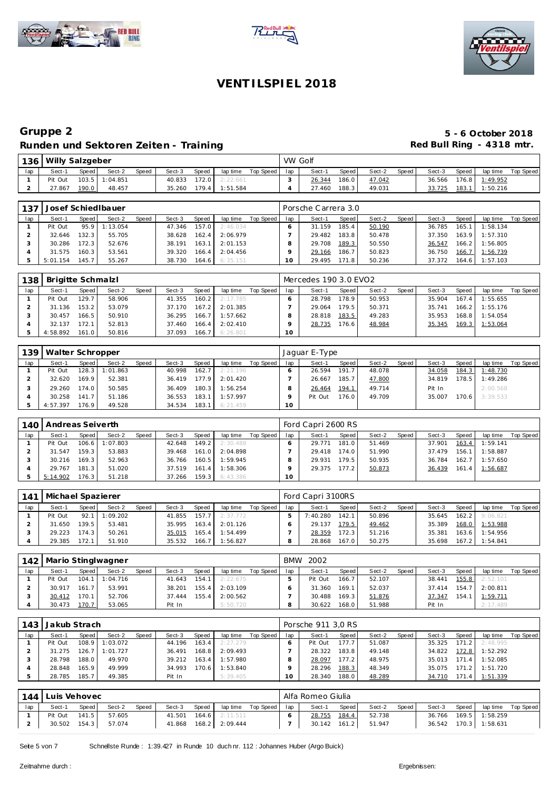





| 136 | Willy Salzgeber |       |                |              |        |       |          |           | VW Golf |        |       |        |       |        |       |                |           |
|-----|-----------------|-------|----------------|--------------|--------|-------|----------|-----------|---------|--------|-------|--------|-------|--------|-------|----------------|-----------|
| lap | Sect-1          | Speed | Sect-2         | <b>Speed</b> | Sect-3 | Speed | lap time | Top Speed | lap     | Sect-1 | Speed | Sect-2 | Speed | Sect-3 | Speed | lap time       | Top Speed |
|     | Pit Out         |       | 103.5 1:04.851 |              | 40.833 | 172.0 | 2:22.661 |           |         | 26.344 | 186.0 | 47.042 |       | 36.566 |       | 176.8 1:49.952 |           |
|     | 27.867          | 190.0 | 48.457         |              | 35.260 | 179.4 | 1:51.584 |           |         | 27.460 | 188.3 | 49.031 |       | 33.725 | 183.1 | 1:50.216       |           |

| 137 | Josef Schied Ibauer<br>Speed<br>Sect-2<br>Speed<br>Speed<br>Sect-3<br>Sect-1<br>lap time<br>95.9<br>1:13.054<br>157.0<br>Pit Out<br>47.346<br>2:46.034 |       |        |  |        |        |          |           |     | Porsche Carrera 3.0 |       |        |       |        |         |          |           |
|-----|--------------------------------------------------------------------------------------------------------------------------------------------------------|-------|--------|--|--------|--------|----------|-----------|-----|---------------------|-------|--------|-------|--------|---------|----------|-----------|
| lap |                                                                                                                                                        |       |        |  |        |        |          | Top Speed | lap | Sect-1              | Speed | Sect-2 | Speed | Sect-3 | Speed   | lap time | Top Speed |
|     |                                                                                                                                                        |       |        |  |        |        |          |           |     | 31.159              | 185.4 | 50.190 |       | 36.785 | 165.    | 1:58.134 |           |
|     | 32.646                                                                                                                                                 | 132.3 | 55.705 |  | 38.628 | 162.4  | 2:06.979 |           |     | 29.482              | 183.8 | 50.478 |       | 37.350 | 163.9   | 1:57.310 |           |
|     | 30.286                                                                                                                                                 | 172.3 | 52.676 |  | 38.191 | 163.1  | 2:01.153 |           |     | 29.708              | 189.3 | 50.550 |       | 36.547 | 166.2   | 1:56.805 |           |
|     | 31.575                                                                                                                                                 | 160.3 | 53.561 |  | 39.320 | 166.4  | 2:04.456 |           |     | 29.166              | 186.7 | 50.823 |       | 36.750 | 166.7   | 1:56.739 |           |
|     | 5:01.154                                                                                                                                               | 145.7 | 55.267 |  | 38.730 | 164.61 | 6:35.151 |           |     | 29.495              | 171.8 | 50.236 |       | 37.372 | 164.6 l | 1:57.103 |           |

| 138 | Brigitte Schmalzl |                    |        |       |        |       |                  |           |     | Mercedes 190 3.0 EVO2 |         |        |       |        |       |          |           |
|-----|-------------------|--------------------|--------|-------|--------|-------|------------------|-----------|-----|-----------------------|---------|--------|-------|--------|-------|----------|-----------|
| lap | Sect-1            | Speed              | Sect-2 | Speed | Sect-3 | Speed | lap time         | Top Speed | lap | Sect-1                | Speed ! | Sect-2 | Speed | Sect-3 | Speed | lap time | Top Speed |
|     | Pit Out           | 129.7              | 58.906 |       | 41.355 |       | $160.2$ 2:17.785 |           |     | 28.798                | 178.9   | 50.953 |       | 35.904 | 167.4 | 1:55.655 |           |
|     | 31.136            | 153.2              | 53.079 |       | 37.170 | 167.2 | 2:01.385         |           |     | 29.064                | 179.5   | 50.371 |       | 35.741 | 166.2 | 1:55.176 |           |
|     | 30.457            | 166.5 <sub>1</sub> | 50.910 |       | 36.295 |       | $166.7$ 1:57.662 |           |     | 28.818                | 183.5   | 49.283 |       | 35.953 | 168.8 | 1:54.054 |           |
|     | 32.137            | 172.1              | 52.813 |       | 37.460 | 166.4 | 2:02.410         |           |     | 28.735                | 176.6   | 48.984 |       | 35.345 | 169.3 | 1:53.064 |           |
|     | 4:58.892          | 161.0              | 50.816 |       | 37.093 |       | 166.7 6:26.801   |           | 10  |                       |         |        |       |        |       |          |           |

| 139 | Walter Schropper |         |          |       |        |       |           |           |     | Jaguar E-Type |        |        |       |        |       |          |           |
|-----|------------------|---------|----------|-------|--------|-------|-----------|-----------|-----|---------------|--------|--------|-------|--------|-------|----------|-----------|
| lap | Sect-1           | Speed I | Sect-2   | Speed | Sect-3 | Speed | lap time  | Top Speed | lap | Sect-1        | Speed  | Sect-2 | Speed | Sect-3 | Speed | lap time | Top Speed |
|     | Pit Out          | 128.3   | 1:01.863 |       | 40.998 | 162.7 | 2:21.196  |           |     | 26.594        | 191.7  | 48.078 |       | 34.058 | 184.3 | 1:48.730 |           |
|     | 32.620           | 169.9   | 52.381   |       | 36.419 | 177.9 | 2:01.420  |           |     | 26.667        | 185.7  | 47.800 |       | 34.819 | 178.5 | 1:49.286 |           |
|     | 29.260           | 174.01  | 50.585   |       | 36.409 | 180.3 | 1:56.254  |           |     | 26.464        | 194.1  | 49.714 |       | Pit In |       | 2:00.568 |           |
|     | 30.258           | 141.7   | 51.186   |       | 36.553 | 183.1 | 1:57.997  |           |     | Pit Out       | 176.01 | 49.709 |       | 35.007 | 170.6 | 3:39.533 |           |
|     | 4:57.397         | 176.9   | 49.528   |       | 34.534 | 183.1 | 6: 21.459 |           | 10  |               |        |        |       |        |       |          |           |

| 140 | Andreas Seiverth |         |                |       |        |       |          |           |     | Ford Capri 2600 RS |       |        |       |        |       |          |           |
|-----|------------------|---------|----------------|-------|--------|-------|----------|-----------|-----|--------------------|-------|--------|-------|--------|-------|----------|-----------|
| lap | Sect-1           | Speed I | Sect-2         | Speed | Sect-3 | Speed | lap time | Top Speed | lap | Sect-1             | Speed | Sect-2 | Speed | Sect-3 | Speed | lap time | Top Speed |
|     | Pit Out          |         | 106.6 1:07.803 |       | 42.648 | 149.2 | 2:30.488 |           |     | 29.771             | 181.0 | 51.469 |       | 37.901 | 163.4 | 1:59.141 |           |
|     | 31.547           | 159.3   | 53.883         |       | 39.468 | 161.0 | 2:04.898 |           |     | 29.418             | 174.0 | 51.990 |       | 37.479 | 156.1 | 1:58.887 |           |
|     | 30.216           | 169.3   | 52.963         |       | 36.766 | 160.5 | 1:59.945 |           |     | 29.931             | 179.5 | 50.935 |       | 36.784 | 162.7 | 1:57.650 |           |
|     | 29.767           | 181.3   | 51.020         |       | 37.519 | 161.4 | 1:58.306 |           |     | 29.375             | 177.2 | 50.873 |       | 36.439 | 161.4 | 1:56.687 |           |
|     | 5:14.902         | 176.3   | 51.218         |       | 37.266 | 159.3 | 6:43.386 |           | 10  |                    |       |        |       |        |       |          |           |

| 141 | Michael Spazierer |        |          |       |        |       |          |           |     | Ford Capri 3100RS |       |        |       |        |       |          |           |
|-----|-------------------|--------|----------|-------|--------|-------|----------|-----------|-----|-------------------|-------|--------|-------|--------|-------|----------|-----------|
| lap | Sect-1            | Speed  | Sect-2   | Speed | Sect-3 | Speed | lap time | Top Speed | lap | Sect-1            | Speed | Sect-2 | Speed | Sect-3 | Speed | lap time | Top Speed |
|     | Pit Out           | 92.1   | 1:09.202 |       | 41.855 | 157.7 | 2:37.772 |           |     | 7:40.280          | 142.1 | 50.896 |       | 35.645 | 162.2 | 9:06.821 |           |
|     | 31.650            | 139.51 | 53.481   |       | 35.995 | 163.4 | 2:01.126 |           |     | 29.137            | 179.5 | 49.462 |       | 35.389 | 168.0 | 1:53.988 |           |
|     | 29.223            | 174.3  | 50.261   |       | 35.015 | 165.4 | 1:54.499 |           |     | 28.359            | 72.3  | 51.216 |       | 35.381 | 163.6 | 1:54.956 |           |
|     | 29.385            | 172.1  | 51.910   |       | 35.532 | 166.7 | 1:56.827 |           |     | 28.868            | 167.0 | 50.275 |       | 35.698 | 167.2 | 1:54.841 |           |

| 142 |         |       | Mario Stinglwagner |       |        |       |          |             |     | BMW 2002 |        |        |       |        |       |                |           |
|-----|---------|-------|--------------------|-------|--------|-------|----------|-------------|-----|----------|--------|--------|-------|--------|-------|----------------|-----------|
| lap | Sect-1  | Speed | Sect-2             | Speed | Sect-3 | Speed | lap time | Top Speed I | lap | Sect-1   | Speed  | Sect-2 | Speed | Sect-3 | Speed | lap time       | Top Speed |
|     | Pit Out | 104.1 | 1:04.716           |       | 41.643 | 154.1 | 2:22.675 |             |     | Pit Out  | 166.7  | 52.107 |       | 38.441 |       | 155.8 2:52.101 |           |
|     | 30.917  | 161.7 | 53.991             |       | 38.201 | 155.4 | 2:03.109 |             |     | 31.360   | 169.1  | 52.037 |       | 37.414 |       | 154.7 2:00.811 |           |
|     | 30.412  | 170.1 | 52.706             |       | 37.444 | 155.4 | 2:00.562 |             |     | 30.488   | 169.3  | 51.876 |       | 37.347 | 154.1 | 1:59.711       |           |
|     | 30.473  | 170.7 | 53.065             |       | Pit In |       | 5:50.720 |             |     | 30.622   | 168.01 | 51.988 |       | Pit In |       | 2:17.489       |           |

| 143 | Jakub Strach |                    |          |       |        |       |          |           |     | Porsche 911 3,0 RS |       |        |       |        |       |          |           |
|-----|--------------|--------------------|----------|-------|--------|-------|----------|-----------|-----|--------------------|-------|--------|-------|--------|-------|----------|-----------|
| lap | Sect-1       | Speed              | Sect-2   | Speed | Sect-3 | Speed | lap time | Top Speed | lap | Sect-1             | Speed | Sect-2 | Speed | Sect-3 | Speed | lap time | Top Speed |
|     | Pit Out      | 108.9              | 1:03.072 |       | 44.196 | 163.4 | 2:27.279 |           |     | Pit Out            | 177.7 | 51.087 |       | 35.325 | 171.2 | 2:48.995 |           |
|     | 31.275       | 126.7              | 1:01.727 |       | 36.491 | 168.8 | 2:09.493 |           |     | 28.322             | 183.8 | 49.148 |       | 34.822 | 172.8 | 1:52.292 |           |
|     | 28.798       | 188.0              | 49.970   |       | 39.212 | 163.4 | 1:57.980 |           |     | 28.097             | 177.2 | 48.975 |       | 35.013 | 171.4 | 1:52.085 |           |
|     | 28.848       | 165.9              | 49.999   |       | 34.993 | 170.6 | 1:53.840 |           |     | 28.296             | 188.3 | 48.349 |       | 35.075 | 171.2 | 1:51.720 |           |
|     | 28.785       | 185.7 <sub>1</sub> | 49.385   |       | Pit In |       | 5:39.405 |           |     | 28.340             | 188.0 | 48.289 |       | 34.710 | 171.4 | 1:51.339 |           |

| 144 | Luis Vehovec |       |        |       |        |       |                |                    |     | Alfa Romeo Giulia |       |        |       |        |       |                       |           |
|-----|--------------|-------|--------|-------|--------|-------|----------------|--------------------|-----|-------------------|-------|--------|-------|--------|-------|-----------------------|-----------|
| lap | Sect-1       | Speed | Sect-2 | Speed | Sect-3 | Speed |                | lap time Top Speed | lap | Sect-1            | Speed | Sect-2 | Speed | Sect-3 | Speed | lap time              | Top Speed |
|     | Pit Out      | 141.5 | 57.605 |       | 41.501 | 164.6 | 2:11.511       |                    |     | 28.755            | 184.4 | 52.738 |       |        |       | 36.766 169.5 1:58.259 |           |
|     | 30.502       | 154.3 | 57.074 |       | 41.868 |       | 168.2 2:09.444 |                    |     | 30.142            | 161.2 | 51.947 |       | 36.542 |       | 170.3 1:58.631        |           |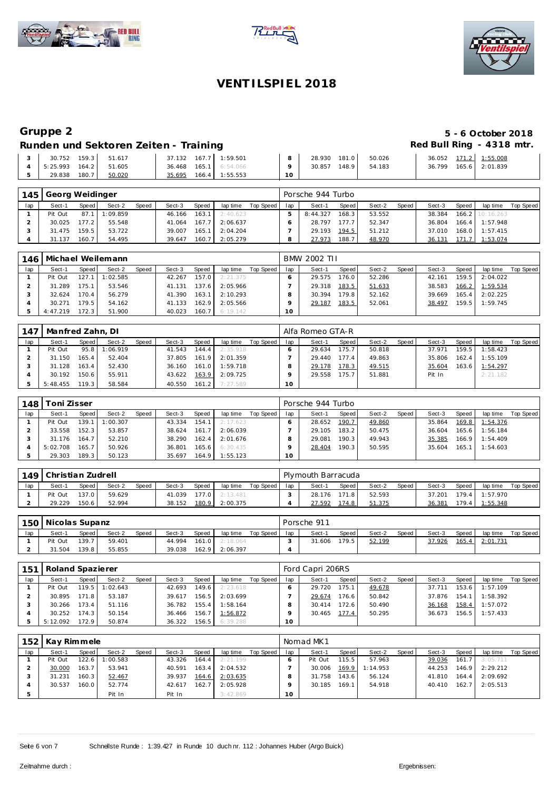





# **Gruppe 2 5 - 6 October 2018**

### Runden und Sektoren Zeiten - Training **Runden und Sektoren Zeiten - Training Red Bull Ring - 4318 mtr.**

| 159.3<br>30.752   | 51.617 | 37.132 167.7 1:59.501        | 28.930<br>181.0  | 36.052 171.2 1:55.008<br>50.026 |                |
|-------------------|--------|------------------------------|------------------|---------------------------------|----------------|
| 164.2<br>5:25.993 | 51.605 | <b>36.468 165.1</b> 6:54.066 | 148.91<br>30.857 | 54.183<br>36.799                | 165.6 2:01.839 |
| 180.7<br>29.838   | 50.020 | 166.4 1:55.553<br>35.695     |                  |                                 |                |

| 145 | Georg Weidinger |       |          |       |        |       |          |           |     | Porsche 944 Turbo |                    |        |       |        |       |                 |           |
|-----|-----------------|-------|----------|-------|--------|-------|----------|-----------|-----|-------------------|--------------------|--------|-------|--------|-------|-----------------|-----------|
| lap | Sect-1          | Speed | Sect-2   | Speed | Sect-3 | Speed | lap time | Top Speed | lap | Sect-1            | Speed              | Sect-2 | Speed | Sect-3 | Speed | lap time        | Top Speed |
|     | Pit Out         | 87.1  | 1:09.859 |       | 46.166 | 163.1 | 2:40.623 |           |     | 8:44.327          | 168.3              | 53.552 |       | 38.384 |       | 166.2 10:16.263 |           |
|     | 30.025          | 177.2 | 55.548   |       | 41.064 | 167.7 | 2:06.637 |           |     | 28.797            | 177.7              | 52.347 |       | 36.804 | 166.4 | 1:57.948        |           |
|     | 31.475          | 159.5 | 53.722   |       | 39.007 | 165.1 | 2:04.204 |           |     | 29.193            | 194.5              | 51.212 |       | 37.010 | 168.0 | 1:57.415        |           |
|     | 31.137          | 160.7 | 54.495   |       | 39.647 | 160.7 | 2:05.279 |           |     | 27.973            | 188.7 <sub>1</sub> | 48.970 |       | 36.131 | 71.7  | 1:53.074        |           |

| 146. |          |        | Michael Weilemann |       |        |       |                  |           |     | BMW 2002 TH |       |        |       |        |        |          |           |
|------|----------|--------|-------------------|-------|--------|-------|------------------|-----------|-----|-------------|-------|--------|-------|--------|--------|----------|-----------|
| lap  | Sect-1   | Speed  | Sect-2            | Speed | Sect-3 | Speed | lap time         | Top Speed | lap | Sect-1      | Speed | Sect-2 | Speed | Sect-3 | Speed  | lap time | Top Speed |
|      | Pit Out  | 127.1  | 1:02.585          |       | 42.267 | 157.0 | 2:21.375         |           |     | 29.575      | 176.0 | 52.286 |       | 42.161 | 159.5  | 2:04.022 |           |
|      | 31.289   | 175.11 | 53.546            |       | 41.131 | 137.6 | 2:05.966         |           |     | 29.318      | 183.5 | 51.633 |       | 38.583 | 166.2  | 1:59.534 |           |
|      | 32.624   | 170.4  | 56.279            |       | 41.390 | 163.1 | 2:10.293         |           |     | 30.394      | 179.8 | 52.162 |       | 39.669 | 165.4  | 2:02.225 |           |
|      | 30.271   | 179.5  | 54.162            |       | 41.133 | 162.9 | 2:05.566         |           |     | 29.187      | 183.5 | 52.061 |       | 38.497 | 159.51 | 1:59.745 |           |
|      | 4:47.219 | 172.3  | 51.900            |       | 40.023 |       | $160.7$ 6:19.142 |           | 10  |             |       |        |       |        |        |          |           |

| 147 | Manfred Zahn, DI |         |          |       |        |       |          |           |     | Alfa Romeo GTA-R |                    |        |       |        |       |          |           |
|-----|------------------|---------|----------|-------|--------|-------|----------|-----------|-----|------------------|--------------------|--------|-------|--------|-------|----------|-----------|
| lap | Sect-1           | Speed   | Sect-2   | Speed | Sect-3 | Speed | lap time | Top Speed | lap | Sect-1           | Speed              | Sect-2 | Speed | Sect-3 | Speed | lap time | Top Speed |
|     | Pit Out          | 95.8    | 1:06.919 |       | 41.543 | 144.4 | 2:35.918 |           |     | 29.634           | 175.7 <sub>1</sub> | 50.818 |       | 37.971 | 159.5 | 1:58.423 |           |
|     | 31.150           | 165.4 l | 52.404   |       | 37.805 | 161.9 | 2:01.359 |           |     | 29.440           | 177.4              | 49.863 |       | 35.806 | 162.4 | 1:55.109 |           |
|     | 31.128           | 163.4   | 52.430   |       | 36.160 | 161.0 | 1:59.718 |           |     | 29.178           | 178.3              | 49.515 |       | 35.604 | 163.6 | 1:54.297 |           |
|     | 30.192           | 150.6   | 55.911   |       | 43.622 | 163.9 | 2:09.725 |           |     | 29.558           | 175.7              | 51.881 |       | Pit In |       | 2:21.182 |           |
|     | 5:48.455         | 119.3 I | 58.584   |       | 40.550 | 161.2 | 7:27.589 |           | 10  |                  |                    |        |       |        |       |          |           |

| 148 | Гоni Zisser |         |          |       |        |       |          |           |     | Porsche 944 Turbo |       |        |       |        |       |          |           |
|-----|-------------|---------|----------|-------|--------|-------|----------|-----------|-----|-------------------|-------|--------|-------|--------|-------|----------|-----------|
| lap | Sect-1      | Speed I | Sect-2   | Speed | Sect-3 | Speed | lap time | Top Speed | lap | Sect-1            | Speed | Sect-2 | Speed | Sect-3 | Speed | lap time | Top Speed |
|     | Pit Out     | 139.1   | 1:00.307 |       | 43.334 | 154.1 | 2:17.623 |           |     | 28.652            | 190.7 | 49.860 |       | 35.864 | 169.8 | 1:54.376 |           |
|     | 33.558      | 152.3   | 53.857   |       | 38.624 | 161.7 | 2:06.039 |           |     | 29.105            | 183.2 | 50.475 |       | 36.604 | 165.6 | 1:56.184 |           |
|     | 31.176      | 164.7   | 52.210   |       | 38.290 | 162.4 | 2:01.676 |           |     | 29.081            | 190.3 | 49.943 |       | 35.385 | 166.9 | 1:54.409 |           |
|     | 5:02.708    | 165.7   | 50.926   |       | 36.801 | 165.6 | 6:30.435 |           |     | 28.404            | 190.3 | 50.595 |       | 35.604 | 165.1 | 1:54.603 |           |
|     | 29.303      | 189.3   | 50.123   |       | 35.697 | 164.9 | 1:55.123 |           | 10  |                   |       |        |       |        |       |          |           |

| 1491 | Christian Zudrell |       |        |              |        |       |          |           |     |        | Plymouth Barracuda |        |       |        |       |          |           |  |  |  |
|------|-------------------|-------|--------|--------------|--------|-------|----------|-----------|-----|--------|--------------------|--------|-------|--------|-------|----------|-----------|--|--|--|
| lap  | Sect-1            | Speed | Sect-2 | <b>Speed</b> | Sect-3 | Speed | lap time | Top Speed | lap | Sect-1 | Speed              | Sect-2 | Speed | Sect-3 | Speed | lap time | Top Speed |  |  |  |
|      | Pit Out           | 137.0 | 59.629 |              | 41.039 | 177.0 | 2:13.481 |           |     | 28.176 | 171.8              | 52.593 |       | 37.201 | 179.4 | 1:57.970 |           |  |  |  |
|      | 29.229            | 150.6 | 52.994 |              | 38.152 | 180.9 | 2:00.375 |           |     | 27.592 | 174.81             | 51.375 |       | 36.381 | 179.4 | 1:55.348 |           |  |  |  |

|     | 150   Nicolas Supanz |       |        |       |        |       |                  |           |     | Porsche 911 |       |        |       |        |       |          |           |  |  |  |
|-----|----------------------|-------|--------|-------|--------|-------|------------------|-----------|-----|-------------|-------|--------|-------|--------|-------|----------|-----------|--|--|--|
| lap | Sect-1               | Speed | Sect-2 | Speed | Sect-3 | Speed | lap time         | Top Speed | lap | Sect-1      | Speed | Sect-2 | Speed | Sect-3 | Speed | lap time | Top Speed |  |  |  |
|     | Pit Out              | 139.7 | 59.401 |       | 44.994 |       | $161.0$ 2:18.064 |           |     | 31.606      | 179.5 | 52.199 |       | 37.926 | 165.4 | 2:01.731 |           |  |  |  |
|     | 31.504               | 139.8 | 55.855 |       | 39.038 | 162.9 | 2:06.397         |           |     |             |       |        |       |        |       |          |           |  |  |  |

| 151 | Roland Spazierer |       |          |       |        |       |          |           |                 | Ford Capri 206RS |                    |        |         |        |       |          |           |  |  |  |
|-----|------------------|-------|----------|-------|--------|-------|----------|-----------|-----------------|------------------|--------------------|--------|---------|--------|-------|----------|-----------|--|--|--|
| lap | Sect-1           | Speed | Sect-2   | Speed | Sect-3 | Speed | lap time | Top Speed | lap             | Sect-1           | Speed              | Sect-2 | Speed I | Sect-3 | Speed | lap time | Top Speed |  |  |  |
|     | Pit Out          | 119.5 | 1:02.643 |       | 42.693 | 149.6 | 2:23.618 |           |                 | 29.720           | 175.1              | 49.678 |         | 37.711 | 153.6 | 1:57.109 |           |  |  |  |
|     | 30.895           | 171.8 | 53.187   |       | 39.617 | 156.5 | 2:03.699 |           |                 | 29.674           | 176.6 <sub>1</sub> | 50.842 |         | 37.876 | 154.1 | 1:58.392 |           |  |  |  |
|     | 30.266           | 173.4 | 51.116   |       | 36.782 | 155.4 | 1:58.164 |           |                 | 30.414           | 172.6              | 50.490 |         | 36.168 | 158.4 | 1:57.072 |           |  |  |  |
|     | 30.252           | 174.3 | 50.154   |       | 36.466 | 156.7 | 1:56.872 |           |                 | 30.465           | 177.4              | 50.295 |         | 36.673 | 156.5 | 1:57.433 |           |  |  |  |
|     | 5:12.092         | 172.9 | 50.874   |       | 36.322 | 156.5 | 6:39.288 |           | 10 <sup>1</sup> |                  |                    |        |         |        |       |          |           |  |  |  |

|     | 152   Kay Rimmele |       |          |       |        |       |          |           |     | Nomad MK1 |       |          |       |        |       |          |           |  |  |
|-----|-------------------|-------|----------|-------|--------|-------|----------|-----------|-----|-----------|-------|----------|-------|--------|-------|----------|-----------|--|--|
| lap | Sect-1            | Speed | Sect-2   | Speed | Sect-3 | Speed | lap time | Top Speed | lap | Sect-1    | Speed | Sect-2   | Speed | Sect-3 | Speed | lap time | Top Speed |  |  |
|     | Pit Out           | 122.6 | 1:00.583 |       | 43.326 | 164.4 | 2:21.199 |           |     | Pit Out   | 115.5 | 57.963   |       | 39.036 | 161.7 | 3:05.711 |           |  |  |
|     | 30.000            | 163.7 | 53.941   |       | 40.591 | 163.4 | 2:04.532 |           |     | 30.006    | 169.9 | 1:14.953 |       | 44.253 | 146.9 | 2:29.212 |           |  |  |
|     | 31.231            | 160.3 | 52.467   |       | 39.937 | 164.6 | 2:03.635 |           |     | 31.758    | 143.6 | 56.124   |       | 41.810 | 164.4 | 2:09.692 |           |  |  |
|     | 30.537            | 160.0 | 52.774   |       | 42.617 | 162.7 | 2:05.928 |           |     | 30.185    | 169.1 | 54.918   |       | 40.410 | 162.7 | 2:05.513 |           |  |  |
|     |                   |       | Pit In   |       | Pit In |       | 3:42.869 |           | 10  |           |       |          |       |        |       |          |           |  |  |